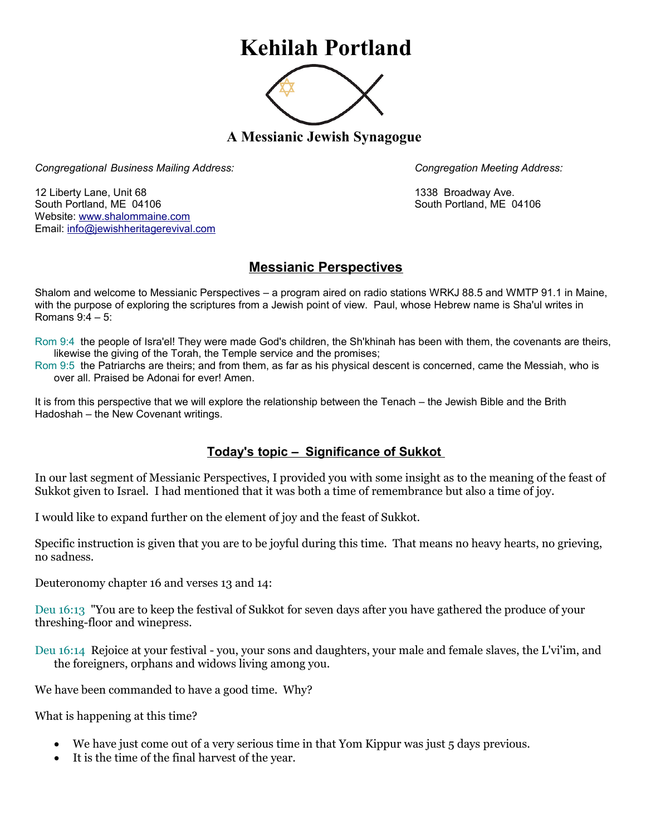## **Kehilah Portland**



**A Messianic Jewish Synagogue** 

*Congregational Business Mailing Address: Congregation Meeting Address:*

12 Liberty Lane, Unit 68 1338 Broadway Ave. South Portland, ME 04106 South Portland, ME 04106 Website: [www.shalommaine.com](http://www.shalommaine.com/) Email: [info@jewishheritagerevival.com](mailto:info@jewishheritagerevival.com) 

## **Messianic Perspectives**

Shalom and welcome to Messianic Perspectives – a program aired on radio stations WRKJ 88.5 and WMTP 91.1 in Maine, with the purpose of exploring the scriptures from a Jewish point of view. Paul, whose Hebrew name is Sha'ul writes in Romans 9:4 – 5:

- Rom 9:4 the people of Isra'el! They were made God's children, the Sh'khinah has been with them, the covenants are theirs, likewise the giving of the Torah, the Temple service and the promises;
- Rom 9:5 the Patriarchs are theirs; and from them, as far as his physical descent is concerned, came the Messiah, who is over all. Praised be Adonai for ever! Amen.

It is from this perspective that we will explore the relationship between the Tenach – the Jewish Bible and the Brith Hadoshah – the New Covenant writings.

## **Today's topic – Significance of Sukkot**

In our last segment of Messianic Perspectives, I provided you with some insight as to the meaning of the feast of Sukkot given to Israel. I had mentioned that it was both a time of remembrance but also a time of joy.

I would like to expand further on the element of joy and the feast of Sukkot.

Specific instruction is given that you are to be joyful during this time. That means no heavy hearts, no grieving, no sadness.

Deuteronomy chapter 16 and verses 13 and 14:

Deu 16:13 "You are to keep the festival of Sukkot for seven days after you have gathered the produce of your threshing-floor and winepress.

Deu 16:14 Rejoice at your festival - you, your sons and daughters, your male and female slaves, the L'vi'im, and the foreigners, orphans and widows living among you.

We have been commanded to have a good time. Why?

What is happening at this time?

- We have just come out of a very serious time in that Yom Kippur was just 5 days previous.
- It is the time of the final harvest of the year.